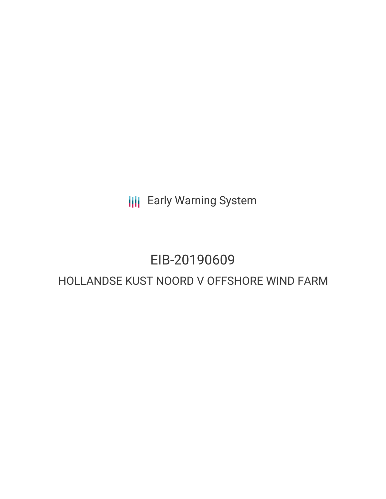**III** Early Warning System

## EIB-20190609

### HOLLANDSE KUST NOORD V OFFSHORE WIND FARM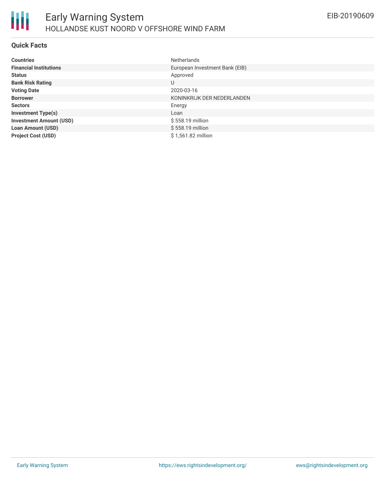

### **Quick Facts**

| <b>Countries</b>               | <b>Netherlands</b>             |
|--------------------------------|--------------------------------|
| <b>Financial Institutions</b>  | European Investment Bank (EIB) |
| <b>Status</b>                  | Approved                       |
| <b>Bank Risk Rating</b>        | U                              |
| <b>Voting Date</b>             | 2020-03-16                     |
| <b>Borrower</b>                | KONINKRIJK DER NEDERLANDEN     |
| <b>Sectors</b>                 | Energy                         |
| <b>Investment Type(s)</b>      | Loan                           |
| <b>Investment Amount (USD)</b> | \$558.19 million               |
| <b>Loan Amount (USD)</b>       | \$558.19 million               |
| <b>Project Cost (USD)</b>      | \$1,561.82 million             |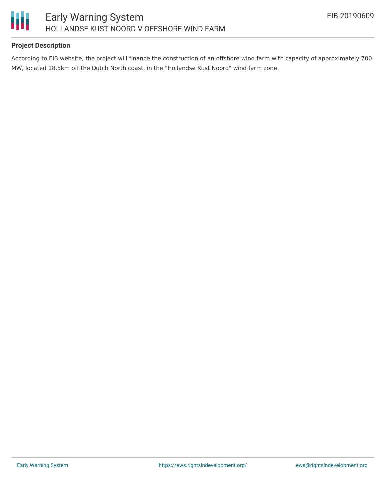

### **Project Description**

According to EIB website, the project will finance the construction of an offshore wind farm with capacity of approximately 700 MW, located 18.5km off the Dutch North coast, in the "Hollandse Kust Noord" wind farm zone.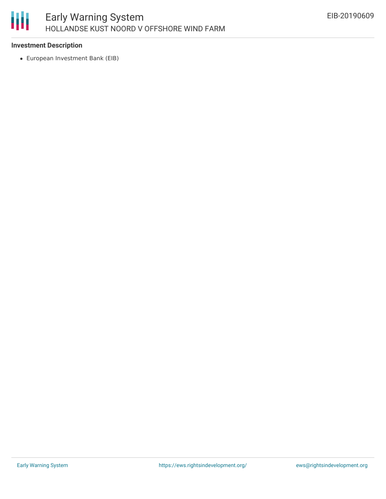# 朋

### **Investment Description**

European Investment Bank (EIB)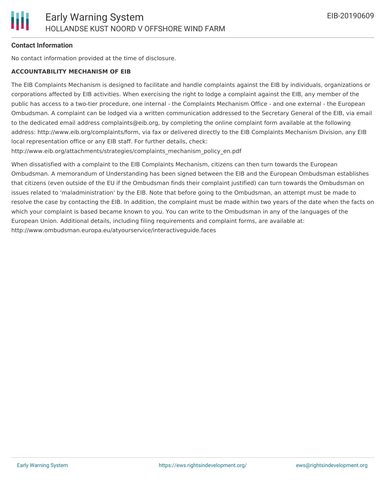### **Contact Information**

No contact information provided at the time of disclosure.

#### **ACCOUNTABILITY MECHANISM OF EIB**

The EIB Complaints Mechanism is designed to facilitate and handle complaints against the EIB by individuals, organizations or corporations affected by EIB activities. When exercising the right to lodge a complaint against the EIB, any member of the public has access to a two-tier procedure, one internal - the Complaints Mechanism Office - and one external - the European Ombudsman. A complaint can be lodged via a written communication addressed to the Secretary General of the EIB, via email to the dedicated email address complaints@eib.org, by completing the online complaint form available at the following address: http://www.eib.org/complaints/form, via fax or delivered directly to the EIB Complaints Mechanism Division, any EIB local representation office or any EIB staff. For further details, check:

http://www.eib.org/attachments/strategies/complaints\_mechanism\_policy\_en.pdf

When dissatisfied with a complaint to the EIB Complaints Mechanism, citizens can then turn towards the European Ombudsman. A memorandum of Understanding has been signed between the EIB and the European Ombudsman establishes that citizens (even outside of the EU if the Ombudsman finds their complaint justified) can turn towards the Ombudsman on issues related to 'maladministration' by the EIB. Note that before going to the Ombudsman, an attempt must be made to resolve the case by contacting the EIB. In addition, the complaint must be made within two years of the date when the facts on which your complaint is based became known to you. You can write to the Ombudsman in any of the languages of the European Union. Additional details, including filing requirements and complaint forms, are available at: http://www.ombudsman.europa.eu/atyourservice/interactiveguide.faces